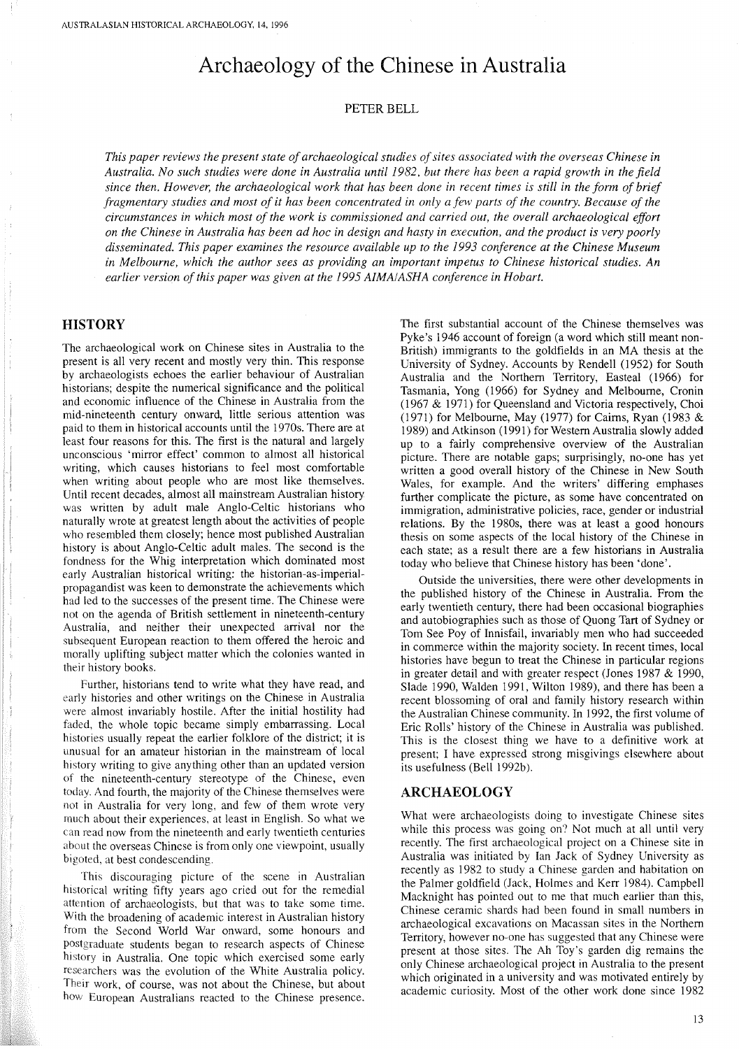# **Archaeology of the Chinese in Australia**

#### PETER BELL

*This paper reviews the present state ofarchaeological studies ofsites associated with the overseas Chinese in* Australia. No such studies were done in Australia until 1982, but there has been a rapid growth in the field since then. However, the archaeological work that has been done in recent times is still in the form of brief fragmentary studies and most of it has been concentrated in only a few parts of the country. Because of the *circumstances in which most of the work is commissioned and carried out, the overall archaeological effort* on the Chinese in Australia has been ad hoc in design and hasty in execution, and the product is very poorly *disseminated. This paper examines the resource available up to the* 1993 *conference at the Chinese Museum in Melbourne, which the author sees as providing an important impetus to Chinese historical studies. An earlier version ofthis paper was given at the* 1995 *AIMA/ASHA conference in Hobart.*

## **HISTORY**

The archaeological work on Chinese sites in Australia to the present is all very recent and mostly very thin. This response by archaeologists echoes the earlier behaviour of Australian historians; despite the numerical significance and the political and economic influence of the Chinese in Australia from the mid-nineteenth century onward, little serious attention was paid to them in historical accounts until the I970s. There are at least four reasons for this. The first is the natural and largely unconscious 'mirror effect' common to almost all historical writing, which causes historians to feel most comfortable when writing about people who are most like themselves. Until recent decades, almost all mainstream Australian history was written by adult male Anglo-Celtic historians who naturally wrote at greatest length about the activities of people who resembled them closely; hence most published Australian history is about Anglo-Celtic adult males. The second is the fondness for the Whig interpretation which dominated most early Australian historical writing: the historian-as-imperialpropagandist was keen to demonstrate the achievements which had led to the successes of the present time. The Chinese were not on the agenda of British settlement in nineteenth-century Australia, and neither their unexpected arrival nor the subsequent European reaction to them offered the heroic and morally uplifting subject matter which the colonies wanted in their history books.

Further, historians tend to write what they have read, and early histories and other writings on the Chinese in Australia were almost invariably hostile. After the initial hostility had faded, the whole topic became simply embarrassing. Local histories usually repeat the earlier folklore of the district; it is unusual for an amateur historian in the mainstream of local history writing to give anything other than an updated version of the nineteenth-century stereotype of the Chinese, even today. And fourth, the majority of the Chinese themselves were not in Australia for very long, and few of them wrote very much about their experiences, at least in English. So what we can read now from the nineteenth and early twentieth centuries about the overseas Chinese is from only one viewpoint, usually bigoted, at best condescending.

This discouraging picture of the scene in Australian historical writing fifty years ago cried out for the remedial attention of archaeologists, but that was to take some time. With the broadening of academic interest in Australian history from the Second World War onward, some honours and postgraduate students began to researeh aspects of Chinese history in Australia. One topic which exercised some early researchers was the evolution of the White Australia policy. Their work, of course, was not about the Chinese, but about how European Australians reacted to the Chinese presence.

The first substantial account of the Chinese themselves was Pyke's 1946 account of foreign (a word which still meant non-British) immigrants to the goldfields in an MA thesis at the University of Sydney. Accounts by Rendell (1952) for South Australia and the Northern Territory, Easteal (1966) for Tasmania, Yong (1966) for Sydney and Melbourne, Cronin (1967 & 1971) for Queensland and Victoria respectively, Choi (1971) for Melbourne, May (1977) for Cairns, Ryan (1983 & 1989) and Atkinson (1991) for Western Australia slowly added up to a fairly comprehensive overview of the Australian picture. There are notable gaps; surprisingly, no-one has yet written a good overall history of the Chinese in New South Wales, for example. And the writers' differing emphases further complicate the picture, as some have concentrated on immigration, administrative policies, race, gender or industrial relations. By the 1980s, there was at least a good honours thesis on some aspects of the local history of the Chinese in each state; as a result there are a few historians in Australia today who believe that Chinese history has been 'done'.

Outside the universities, there were other developments in the published history of the Chinese in Australia. From the early twentieth century, there had been occasional biographies and autobiographies such as those of Quong Tart of Sydney or Tom See Poy of Innisfail, invariably men who had succeeded in commerce within the majority society. **In** recent times, local histories have begun to treat the Chinese in particular regions in greater detail and with greater respect (Jones 1987 & 1990, Slade 1990, Walden 1991, Wilton 1989), and there has been a recent blossoming of oral and family history research within the Australian Chinese community. **In** 1992, the first volume of Eric Rolls' history of the Chinese in Australia was published. This is the closest thing we have to a definitive work at present; I have expressed strong misgivings elsewhere about its usefulness (Bell I 992b).

#### **ARCHAEOLOGY**

What were archaeologists doing to investigate Chinese sites while this process was going on? Not much at all until very recently. The first archaeological project on a Chinese site in Australia was initiated by Ian Jack of Sydney University as recently as 1982 to study a Chinese garden and habitation on the Palmer goldfield (Jack, Holmes and Kerr 1984). Campbell Macknight has pointed out to me that much earlier than this, Chinese ceramic shards had been found in small numbers in archaeological excavations on Macassan sites in the Northern Territory, however no-one has suggested that any Chinese were present at those sites. The Ah Toy's garden dig remains the only Chinese archaeological project in Australia to the present which originated in a university and was motivated entirely by academic curiosity. Most of the other work done since 1982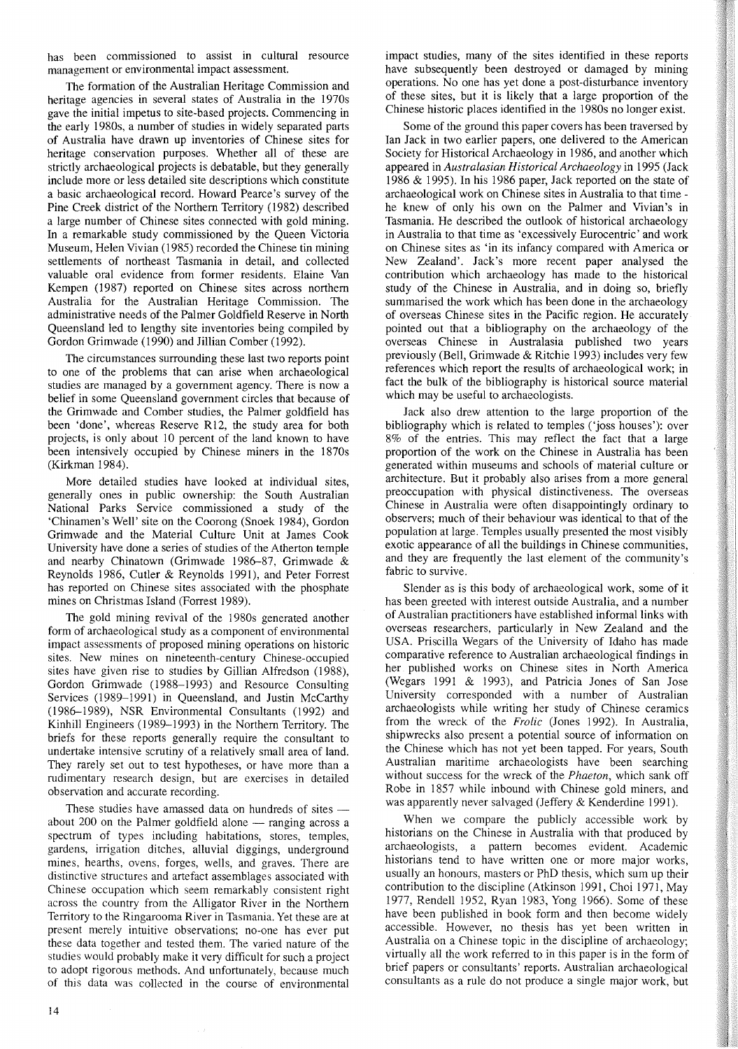has been commissioned to assist in cultural resource management or environmental impact assessment.

The formation of the Australian Heritage Commission and heritage agencies in several states of Australia in the 1970s gave the initial impetus to site-based projects. Commencing in the early 1980s, a number of studies in widely separated parts of Australia have drawn up inventories of Chinese sites for heritage conservation purposes. Whether all of these are strictly archaeological projects is debatable, but they generally include more or less detailed site descriptions which constitute a basic archaeological record. Howard Pearce's survey of the Pine Creek district of the Northern Territory (1982) described a large number of Chinese sites connected with gold mining. In a remarkable study commissioned by the Queen Victoria Museum, Helen Vivian (1985) recorded the Chinese tin mining settlements of northeast Tasmania in detail, and collected valuable oral evidence from former residents. Elaine Van Kempen (1987) reported on Chinese sites across northern Australia for the Australian Heritage Commission. The administrative needs of the Palmer Goldfield Reserve in North Queensland led to lengthy site inventories being compiled by Gordon Grimwade (1990) and Jillian Comber (1992).

The circumstances surrounding these last two reports point to one of the problems that can arise when archaeological studies are managed by a government agency. There is now a belief in some Queensland government circles that because of the Grimwade and Comber studies, the Palmer goldfield has been 'done', whereas Reserve R12, the study area for both projects, is only about 10 percent of the land known to have been intensively occupied by Chinese miners in the 1870s (Kirkman 1984).

More detailed studies have looked at individual sites, generally ones in public ownership: the South Australian National Parks Service commissioned a study of the 'Chinamen's Well' site on the Coorong (Snoek 1984), Gordon Grimwade and the Material Culture Unit at James Cook University have done a series of studies of the Atherton temple and nearby Chinatown (Grimwade 1986-87, Grimwade & Reynolds 1986, Cutler & Reynolds 1991), and Peter Forrest has reported on Chinese sites associated with the phosphate mines on Christmas Island (Forrest 1989).

The gold mining revival of the 1980s generated another form of archaeological study as a component of environmental impact assessments of proposed mining operations on historic sites. New mines on nineteenth-century Chinese-occupied sites have given rise to studies by Gillian Alfredson (1988), Gordon Grimwade (1988-1993) and Resource Consulting Services (1989-1991) in Queensland, and Justin McCarthy (1986-1989), NSR Environmental Consultants (1992) and Kinhill Engineers (1989-1993) in the Northern Territory. The briefs for these reports generally require the consultant to undertake intensive scrutiny of a relatively small area of land. They rarely set out to test hypotheses, or have more than a rudimentary research design, but are exercises in detailed observation and accurate recording.

These studies have amassed data on hundreds of sites  $$ about 200 on the Palmer goldfield alone  $-$  ranging across a spectrum of types including habitations, stores, temples, gardens, irrigation ditches, alluvial diggings, underground mines, hearths, ovens, forges, wells, and graves. There are distinctive structures and artefact assemblages associated with Chinese occupation which seem remarkably consistent right across the country from the Alligator River in the Northern Territory to the Ringarooma River in Tasmania. Yet these are at present merely intuitive observations; no-one has ever put these data together and tested them. The varied nature of the studies would probably make it very difficult for such a project to adopt rigorous methods. And unfortunately, because much of this data was collected in the course of environmental

impact studies, many of the sites identified in these reports have subsequently been destroyed or damaged by mining operations. No one has yet done a post-disturbance inventory of these sites, but it is likely that a large proportion of the Chinese historic places identified in the 1980s no longer exist.

Some of the ground this paper covers has been traversed by Ian Jack in two earlier papers, one delivered to the American Society for Historical Archaeology in 1986, and another which appeared in *Australasian Historical Archaeology* in 1995 (Jack 1986 & 1995). In his 1986 paper, Jack reported on the state of archaeological work on Chinese sites in Australia to that time he knew of only his own on the Palmer and Vivian's in Tasmania. He described the outlook of historical archaeology in Australia to that time as 'excessively Eurocentric' and work on Chinese sites as 'in its infancy compared with America or New Zealand'. Jack's more recent paper analysed the contribution which archaeology has made to the historical study of the Chinese in Australia, and in doing so, briefly summarised the work which has been done in the archaeology of overseas Chinese sites in the Pacific region. He accurately pointed out that a bibliography on the archaeology of the overseas Chinese in Australasia published two years previously (Bell, Grimwade & Ritchie 1993) includes very few references which report the results of archaeological work; in fact the bulk of the bibliography is historical source material which may be useful to archaeologists.

Jack also drew attention to the large proportion of the bibliography which is related to temples ('joss houses'): over 8% of the entries. This may reflect the fact that a large proportion of the work on the Chinese in Australia has been generated within museums and schools of material culture or architecture. But it probably also arises from a more general preoccupation with physical distinctiveness. The overseas Chinese in Australia were often disappointingly ordinary to observers; much of their behaviour was identical to that of the population at large. Temples usually presented the most visibly exotic appearance of all the buildings in Chinese communities, and they are frequently the last element of the community's fabric to survive.

Slender as is this body of archaeological work, some of it has been greeted with interest outside Australia, and a number of Australian practitioners have established informal links with overseas researchers, particularly in New Zealand and the USA. Priscilla Wegars of the University of Idaho has made comparative reference to Australian archaeological findings in her published works on Chinese sites in North America (Wegars 1991 & 1993), and Patricia Jones of San Jose University corresponded with a number of Australian archaeologists while writing her study of Chinese ceramics from the wreck of the *Frolic* (Jones 1992). In Australia, shipwrecks also present a potential source of information on the Chinese which has not yet been tapped. For years, South Australian maritime archaeologists have been searching without success for the wreck of the *Phaeton,* which sank off Robe in 1857 while inbound with Chinese gold miners, and was apparently never salvaged (Jeffery & Kenderdine 1991).

When we compare the publicly accessible work by historians on the Chinese in Australia with that produced by archaeologists, a pattern becomes evident. Academic historians tend to have written one or more major works, usually an honours, masters or PhD thesis, which sum up their contribution to the discipline (Atkinson 1991, Choi 1971, May 1977, Rendell 1952, Ryan 1983, Yong 1966). Some of these have been published in book form and then become widely accessible. However, no thesis has yet been written in Australia on a Chinese topic in the discipline of archaeology; virtually all the work referred to in this paper is in the form of brief papers or consultants' reports. Australian archaeological consultants as a rule do not produce a single major work, but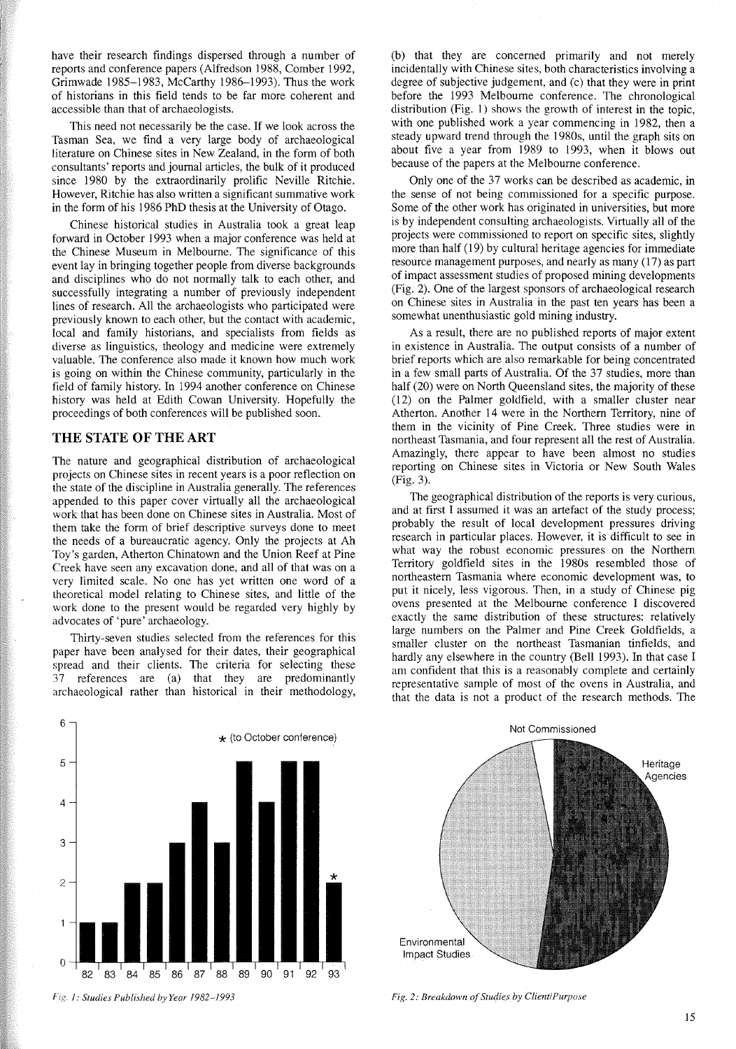have their research findings dispersed through a number of reports and conference papers (Alfredson 1988, Comber 1992, Grimwade 1985-1983, McCarthy 1986-1993). Thus the work of historians in this field tends to be far more coherent and accessible than that of archaeologists.

This need not necessarily be the case. **If** we look across the Tasman Sea, we find a very large body of archaeological literature on Chinese sites in New Zealand, in the form of both consultants' reports and journal articles, the bulk of it produced since 1980 by the extraordinarily prolific Neville Ritchie. However, Ritchie has also written a significant summative work in the form of his 1986 PhD thesis at the University of Otago.

Chinese historical studies in Australia took a great leap forward in October 1993 when a major conference was held at the Chinese Museum in Melbourne. The significance of this event lay in bringing together people from diverse backgrounds and disciplines who do not normally talk to each other, and successfully integrating a number of previously independent lines of research. All the archaeologists who participated were previously known to each other, but the contact with academic, local and family historians, and specialists from fields as diverse as linguistics, theology and medicine were extremely valuable. The conference also made it known how much work is going on within the Chinese community, particularly in the field of family history. **In** 1994 another conference on Chinese history was held at Edith Cowan University. Hopefully the proceedings of both conferences will be published soon.

### **THE STATE** OF THE ART

The nature and geographical distribution of archaeological projects on Chinese sites in recent years is a poor reflection on the state of the discipline in Australia generally. The references appended to this paper cover virtually all the archaeological work that has been done on Chinese sites in Australia. Most of them take the form of brief descriptive surveys done to meet the needs of a bureaucratic agency. Only the projects at Ah Toy's garden, Atherton Chinatown and the Union Reef at Pine Creek have seen any excavation done, and all of that was on a very limited scale. No one has yet written one word of a theoretical model relating to Chinese sites, and little of the work done to the present would be regarded very highly by advocates of 'pure' archaeology.

Thirty-seven studies selected from the references for this paper have been analysed for their dates, their geographical spread and their clients. The criteria for selecting these 37 references are (a) that they are predominantly archaeological rather than historical in their methodology,

(b) that they are concerned primarily and not merely incidentally with Chinese sites, both characteristics involving a degree of subjective judgement, and (c) that they were in print before the 1993 Melbourne conference. The chronological distribution (Fig. 1) shows the growth of interest in the topic, with one published work a year commencing in 1982, then a steady upward trend through the 1980s, until the graph sits on about five a year from 1989 to 1993, when it blows out because of the papers at the Melbourne conference.

Only one of the 37 works can be described as academic, in the sense of not being commissioned for a specific purpose. Some of the other work has originated in universities, but more is by independent consulting archaeologists. Virtually all of the projects were commissioned to report on specific sites, slightly more than half (19) by cultural heritage agencies for immediate resource management purposes, and nearly as many (17) as part of impact assessment studies of proposed mining developments (Fig. 2). One of the largest sponsors of archaeological research on Chinese sites in Australia in the past ten years has been a somewhat unenthusiastic gold mining industry.

As a result, there are no published reports of major extent in existence in Australia. The output consists of a number of brief reports which are also remarkable for being concentrated in a few small parts of Australia. Of the 37 studies, more than half (20) were on North Queensland sites, the majority of these (12) on the Palmer goldfield, with a smaller cluster near Atherton. Another 14 were in the Northern Territory, nine of them in the vicinity of Pine Creek. Three studies were in northeast Tasmania, and four represent all the rest of Australia. Amazingly, there appear to have been almost no studies reporting on Chinese sites in Victoria or New South Wales (Fig. 3).

The geographical distribution of the reports is very curious, and at first I assumed it was an artefact of the study process; probably the result of local development pressures driving research in particular places. However, it is difficult to see in what way the robust economic pressures on the Northern Territory goldfield sites in the 1980s resembled those of northeastern Tasmania where economic development was, to put it nicely, less vigorous. Then, in a study of Chinese pig ovens presented at the Melbourne conference I discovered exactly the same distribution of these structures: relatively large numbers on the Palmer and Pine Creek Goldfields, a smaller cluster on the northeast Tasmanian tinfields, and hardly any elsewhere in the country (Bell 1993). **In** that case I am confident that this is a reasonably complete and certainly representative sample of most of the ovens in Australia, and that the data is not a product of the research methods. The







*Fig.* 1: *Studies Published by Year* /982-1993 *Fig.* 2: *Breakdown ofStudiesby Client/Purpose*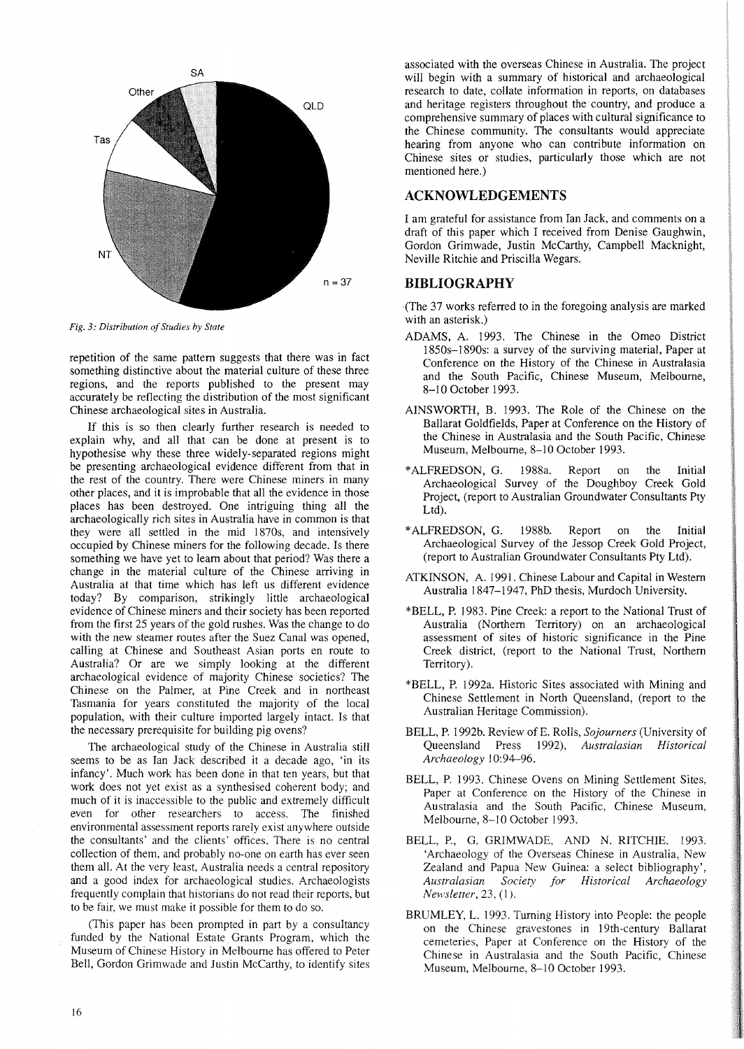

*Fig.* 3: Distribution of Studies by State

repetition of the same pattern suggests that there was in fact something distinctive about the material culture of these three regions, and the reports published to the present may accurately be reflecting the distribution of the most significant Chinese archaeological sites in Australia.

If this is so then clearly further research is needed to explain why, and all that can be done at present is to hypothesise why these three widely-separated regions might be presenting archaeological evidence different from that in the rest of the country. There were Chinese miners in many other places, and it is improbable that all the evidence in those places has been destroyed. One intriguing thing all the archaeologically rich sites in Australia have in common is that they were all settled in the mid I870s, and intensively occupied by Chinese miners for the following decade. Is there something we have yet to learn about that period? Was there a change in the material culture of the Chinese arriving in Australia at that time which has left us different evidence today? By comparison, strikingly little archaeological evidence of Chinese miners and their society has been reported from the first 25 years of the gold rushes. Was the change to do with the new steamer routes after the Suez Canal was opened, calling at Chinese and Southeast Asian ports en route to Australia? Or are we simply looking at the different archaeological evidence of majority Chinese societies? The Chinese on the Palmer, at Pine Creek and in northeast Tasmania for years constituted the majority of the local population, with their culture imported largely intact. Is that the necessary prerequisite for building pig ovens?

The archaeological study of the Chinese in Australia still seems to be as Ian Jack described it a decade ago, 'in its infancy'. Much work has been done in that ten years, but that work does not yet exist as a synthesised coherent body; and much of it is inaccessible to the public and extremely difficult even for other researchers to access. The finished environmental assessment reports rarely exist anywhere outside the consultants' and the clients' offices. There is no central collection of them, and probably no-one on earth has ever seen them all. At the very least, Australia needs a central repository and a good index for archaeological studies. Archaeologists frequently complain that historians do not read their reports, but to be fair, we must make it possible for them to do so.

(This paper has been prompted in part by a consultancy funded by the National Estate Grants Program, which the Museum of Chinese History in Melbourne has offered to Peter Bell, Gordon Grimwade and Justin McCarthy, to identify sites associated with the overseas Chinese in Australia. The project will begin with a summary of historical and archaeological research to date, collate information in reports, on databases and heritage registers throughout the country, and produce a comprehensive summary of places with cultural significance to the Chinese community. The consultants would appreciate hearing from anyone who can contribute information on Chinese sites or studies, particularly those which are not mentioned here.)

## **ACKNOWLEDGEMENTS**

I am grateful for assistance from Ian Jack, and comments on a draft of this paper which I received from Denise Gaughwin, Gordon Grimwade, Justin McCarthy, Campbell Macknight, Neville Ritchie and Priscilla Wegars.

## **BIBLIOGRAPHY**

«The 37 works referred to in the foregoing analysis are marked with an asterisk.)

- ADAMS, A. 1993. The Chinese in the Omeo District 1850s-1890s: a survey of the surviving material, Paper at Conference on the History of the Chinese in Australasia and the South Pacific, Chinese Museum, Melbourne, 8-10 October 1993.
- AINSWORTH, B. 1993. The Role of the Chinese on the Ballarat Goldfields, Paper at Conference on the History of the Chinese in Australasia and the South Pacific, Chinese Museum, Melbourne, 8-10 October 1993.
- \*ALFREDSON, G. 1988a. Report on the Initial Archaeological Survey of the Doughboy Creek Gold Project, (report to Australian Groundwater Consultants Pty Ltd).
- \*ALFREDSON, G. 1988b. Report on the Initial Archaeological Survey of the Jessop Creek Gold Project, (report to Australian Groundwater Consultants Pty Ltd).
- ATKINSON, A. 1991. Chinese Labour and Capital in Western Australia 1847-1947, PhD thesis, Murdoch University.
- \*BELL, P. 1983. Pine Creek: a report to the National Trust of Australia (Northern Territory) on an archaeological assessment of sites of historic significance in the Pine Creek district, (report to the National Trust, Northern Territory).
- \*BELL, P. 1992a. Historic Sites associated with Mining and Chinese Settlement in North Queensland, (report to the Australian Heritage Commission).
- BELL, P. 1992b. Review of E. Rolls, *Sojourners* (University of Queensland Press 1992), *Australasian Historical Archaeology 10:94-96.*
- BELL, P. 1993. Chinese Ovens on Mining Settlement Sites, Paper at Conference on the History of the Chinese in Australasia and the South Pacific, Chinese Museum, Melbourne, 8-10 October 1993.
- BELL, P., G. GRIMWADE, AND N. RITCHIE. 1993. 'Archaeology of the Overseas Chinese in Australia, New Zealand and Papua New Guinea: a select bibliography', *Australasian Society for Historical Archaeology Newsletter,* 23, (I).
- BRUMLEY, L. 1993. Turning History into People: the people on the Chinese gravestones in 19th-century Ballarat cemeteries, Paper at Conference on the History of the Chinese in Australasia and the South Pacific, Chinese Museum, Melbourne, 8-10 October 1993.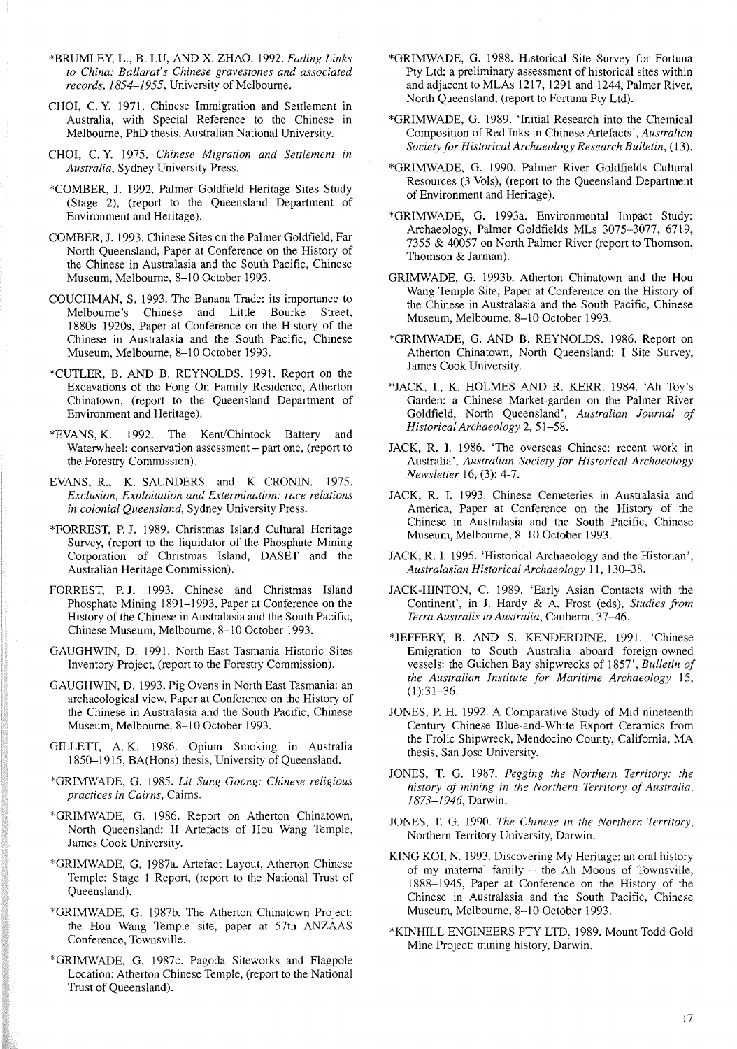- \*BRUMLEY, L., B. LU, AND X. ZHAO. 1992. *Fading Links to China: Ballarat's Chinese gravestones and associated records,* 1854-1955, University of Melbourne.
- CHOI, C. Y. 1971. Chinese Immigration and Settlement in Australia, with Special Reference to the Chinese in Melbourne, PhD thesis, Australian National University.
- CHOI, C. Y. 1975. *Chinese Migration and Settlement in Australia,* Sydney University Press.
- \*COMBER, J. 1992. Palmer Goldfield Heritage Sites Study (Stage 2), (report to the Queensland Department of Environment and Heritage).
- COMBER, J. 1993. Chinese Sites on the Palmer Goldfield, Far North Queensland, Paper at Conference on the History of the Chinese in Australasia and the South Pacific, Chinese Museum, Melbourne, 8-10 October 1993.
- COUCHMAN, S. 1993. The Banana Trade: its importance to Melbourne's Chinese and Little Bourke 1880s-1920s, Paper at Conference on the History of the Chinese in Australasia and the South Pacific, Chinese Museum, Melbourne, 8-10 October 1993.
- \*CUTLER, B. AND B. REYNOLDS. 1991. Report on the Excavations of the Fong On Family Residence, Atherton Chinatown, (report to the Queensland Department of Environment and Heritage).
- \*EVANS, K. 1992. The Kent/Chintock Battery and Waterwheel: conservation assessment - part one, (report to the Forestry Commission).
- EVANS, R., K. SAUNDERS and K. CRONIN. 1975. *Exclusion, Exploitation and Extermination: race relations in colonial Queensland,* Sydney University Press.
- \*FORREST, P. J. 1989. Christmas Island Cultural Heritage Survey, (report to the liquidator of the Phosphate Mining Corporation of Christmas Island, DASET and the Australian Heritage Commission).
- FORREST, P. J. 1993. Chinese and Christmas Island Phosphate Mining 1891-1993, Paper at Conference on the History of the Chinese in Australasia and the South Pacific, Chinese Museum, Melbourne, 8-10 October 1993.
- GAUGHWIN, D. 1991. North-East Tasmania Historic Sites Inventory Project, (report to the Forestry Commission).
- GAUGHWIN, D. 1993. Pig Ovens in North East Tasmania: an archaeological view, Paper at Conference on the History of the Chinese in Australasia and the South Pacific, Chinese Museum, Melbourne, 8-10 October 1993.
- GILLETT, A. K. 1986. Opium Smoking in Australia 1850-1915, BA(Hons) thesis, University of Queensland.
- \*GRIMWADE, G. 1985. *Lit Sung Goong: Chinese religious practices in Cairns,* Cairns.
- \*GRIMWADE, G. 1986. Report on Atherton Chinatown, North Queensland: II Artefacts of Hou Wang Temple, James Cook University.
- \*GRIMWADE, G. 1987a. Artefact Layout, Atherton Chinese Temple: Stage I Report, (report to the National Trust of Queensland).
- \*GRIMWADE, G. 1987b. The Atherton Chinatown Project: the Hou Wang Temple site, paper at 57th ANZAAS Conference, Townsville.
- \*GRIMWADE, G. 1987c. Pagoda Siteworks and Flagpole Location: Atherton Chinese Temple, (report to the National Trust of Queensland).
- \*GRIMWADE, G. 1988. Historical Site Survey for Fortuna Pty Ltd: a preliminary assessment of historical sites within and adjacent to MLAs 1217, 1291 and 1244, Palmer River, North Queensland, (report to Fortuna Pty Ltd).
- \*GRIMWADE, G. 1989. 'Initial Research into the Chemical Composition of Red Inks in Chinese Artefacts', *Australian Society for Historical Archaeology Research Bulletin, (13).*
- \*GRIMWADE, G. 1990. Palmer River Goldfields Cultural Resources (3 Vols), (report to the Queensland Department of Environment and Heritage).
- \*GRIMWADE, G. 1993a. Environmental Impact Study: Archaeology, Palmer Goldfields MLs 3075-3077, 6719, 7355 & 40057 on North Palmer River (report to Thomson, Thomson & Jarman).
- GRIMWADE, G. 1993b. Atherton Chinatown and the Hou Wang Temple Site, Paper at Conference on the History of the Chinese in Australasia and the South Pacific, Chinese Museum, Melbourne, 8-10 October 1993.
- \*GRIMWADE, G. AND B. REYNOLDS. 1986. Report on Atherton Chinatown, North Queensland: I Site Survey, James Cook University.
- \*JACK, 1., K. HOLMES AND R. KERR. 1984. 'Ah Toy's Garden: a Chinese Market-garden on the Palmer River Goldfield, North Queensland', *Australian Journal of Historical Archaeology* 2, 51-58.
- JACK, R. 1. 1986. 'The overseas Chinese: recent work in Australia', *Australian Society for Historical Archaeology Newsletter* 16, (3): 4-7.
- JACK, R. 1. 1993. Chinese Cemeteries in Australasia and America, Paper at Conference on the History of the Chinese in Australasia and the South Pacific, Chinese Museum, Melbourne, 8-10 October 1993.
- JACK, R. 1. 1995. 'Historical Archaeology and the Historian', *Australasian Historical Archaeology* II, 130-38.
- JACK-HINTON, C. 1989. 'Early Asian Contacts with the Continent', in 1. Hardy & A. Frost (eds), *Studies from Terra Australis to Australia,* Canberra, 37-46.
- \*JEFFERY, B. AND S. KENDERDINE. 1991. 'Chinese Emigration to South Australia aboard foreign-owned vessels: the Guichen Bay shipwrecks of 1857', *Bulletin of the Australian 1nstitute for Maritime Archaeology* 15,  $(1):31-36.$
- JONES, P. H. 1992. A Comparative Study of Mid-nineteenth Century Chinese Blue-and-White Export Ceramics from the Frolic Shipwreck, Mendocino County, California, MA thesis, San Jose University.
- JONES, T. G. 1987. *Pegging the Northern Territory: the history of mining in the Northern Territory of Australia,* 1873-1946, Darwin.
- JONES, T. G. 1990. *The Chinese in the Northern Territory,* Northern Territory University, Darwin.
- KING KOI, N. 1993. Discovering My Heritage: an oral history of my maternal family - the Ah Moons of Townsville, 1888-1945, Paper at Conference on the History of the Chinese in Australasia and the South Pacific, Chinese Museum, Melbourne, 8-10 October 1993.
- \*KINHILL ENGINEERS PTY LTD. 1989. Mount Todd Gold Mine Project: mining history, Darwin.